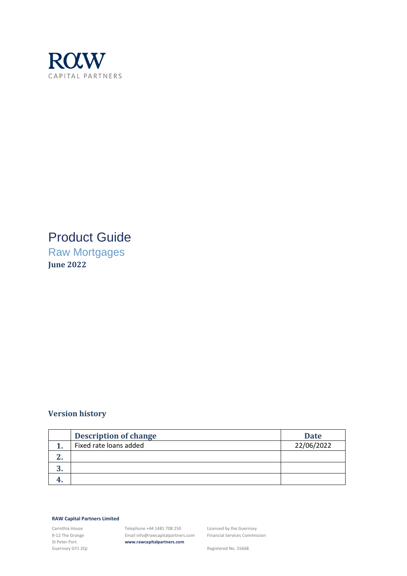

### Product Guide

Raw Mortgages **June 2022**

#### **Version history**

|   | <b>Description of change</b> | <b>Date</b> |
|---|------------------------------|-------------|
|   | Fixed rate loans added       | 22/06/2022  |
|   |                              |             |
| ື |                              |             |
|   |                              |             |

#### **RAW Capital Partners Limited**

Carinthia House 9-12 The Grange St Peter Port Guernsey GY1 2QJ

Telephone +44 1481 708 250 Email info@rawcapitalpartners.com **www.rawcapitalpartners.com**

Licensed by the Guernsey Financial Services Commission

Registered No. 55668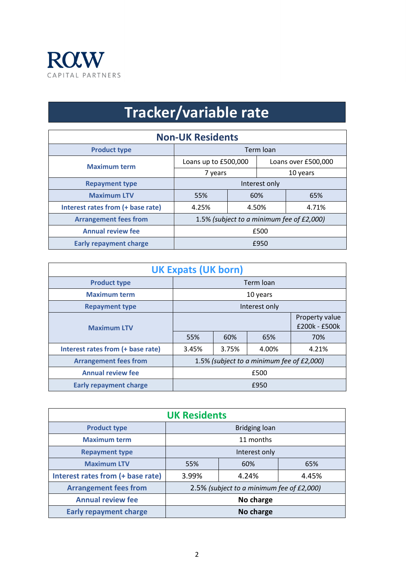

# **Tracker/variable rate**

| <b>Non-UK Residents</b>           |                                           |       |          |                     |  |
|-----------------------------------|-------------------------------------------|-------|----------|---------------------|--|
| <b>Product type</b>               | Term loan                                 |       |          |                     |  |
| <b>Maximum term</b>               | Loans up to £500,000                      |       |          | Loans over £500,000 |  |
|                                   | 7 years                                   |       | 10 years |                     |  |
| <b>Repayment type</b>             | Interest only                             |       |          |                     |  |
| <b>Maximum LTV</b>                | 55%                                       | 60%   |          | 65%                 |  |
| Interest rates from (+ base rate) | 4.25%                                     | 4.50% |          | 4.71%               |  |
| <b>Arrangement fees from</b>      | 1.5% (subject to a minimum fee of £2,000) |       |          |                     |  |
| <b>Annual review fee</b>          | £500                                      |       |          |                     |  |
| <b>Early repayment charge</b>     | £950                                      |       |          |                     |  |

| <b>UK Expats (UK born)</b>            |                                           |       |       |       |
|---------------------------------------|-------------------------------------------|-------|-------|-------|
| <b>Product type</b>                   | Term loan                                 |       |       |       |
| <b>Maximum term</b>                   | 10 years                                  |       |       |       |
| <b>Repayment type</b>                 | Interest only                             |       |       |       |
| <b>Maximum LTV</b>                    | Property value<br>£200k - £500k           |       |       |       |
|                                       | 55%                                       | 60%   | 65%   | 70%   |
| Interest rates from (+ base rate)     | 3.45%                                     | 3.75% | 4.00% | 4.21% |
| <b>Arrangement fees from</b>          | 1.5% (subject to a minimum fee of £2,000) |       |       |       |
| <b>Annual review fee</b>              | £500                                      |       |       |       |
| <b>Early repayment charge</b><br>£950 |                                           |       |       |       |

| <b>UK Residents</b>               |                                           |       |       |
|-----------------------------------|-------------------------------------------|-------|-------|
| <b>Product type</b>               | <b>Bridging loan</b>                      |       |       |
| <b>Maximum term</b>               | 11 months                                 |       |       |
| <b>Repayment type</b>             | Interest only                             |       |       |
| <b>Maximum LTV</b>                | 55%                                       | 60%   | 65%   |
| Interest rates from (+ base rate) | 3.99%                                     | 4.24% | 4.45% |
| <b>Arrangement fees from</b>      | 2.5% (subject to a minimum fee of £2,000) |       |       |
| <b>Annual review fee</b>          | No charge                                 |       |       |
| <b>Early repayment charge</b>     | No charge                                 |       |       |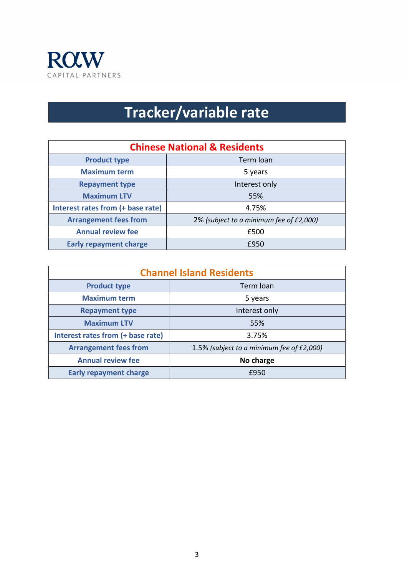

# **Tracker/variable rate**

| <b>Chinese National &amp; Residents</b> |                                         |  |
|-----------------------------------------|-----------------------------------------|--|
| <b>Product type</b>                     | Term loan                               |  |
| <b>Maximum term</b>                     | 5 years                                 |  |
| <b>Repayment type</b>                   | Interest only                           |  |
| <b>Maximum LTV</b>                      | 55%                                     |  |
| Interest rates from (+ base rate)       | 4.75%                                   |  |
| <b>Arrangement fees from</b>            | 2% (subject to a minimum fee of £2,000) |  |
| <b>Annual review fee</b>                | £500                                    |  |
| <b>Early repayment charge</b>           | £950                                    |  |

| <b>Channel Island Residents</b>   |                                           |  |
|-----------------------------------|-------------------------------------------|--|
| <b>Product type</b>               | Term loan                                 |  |
| <b>Maximum term</b>               | 5 years                                   |  |
| <b>Repayment type</b>             | Interest only                             |  |
| <b>Maximum LTV</b>                | 55%                                       |  |
| Interest rates from (+ base rate) | 3.75%                                     |  |
| <b>Arrangement fees from</b>      | 1.5% (subject to a minimum fee of £2,000) |  |
| <b>Annual review fee</b>          | No charge                                 |  |
| <b>Early repayment charge</b>     | £950                                      |  |